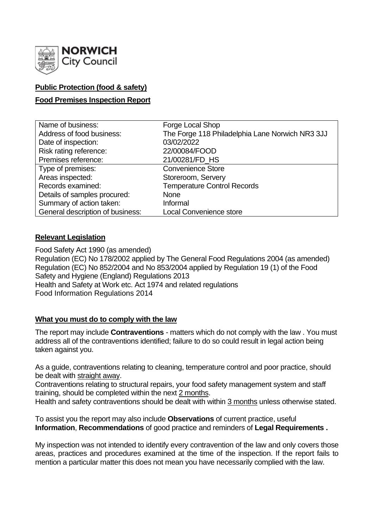

# **Public Protection (food & safety)**

# **Food Premises Inspection Report**

| Name of business:                | Forge Local Shop                                |
|----------------------------------|-------------------------------------------------|
| Address of food business:        | The Forge 118 Philadelphia Lane Norwich NR3 3JJ |
| Date of inspection:              | 03/02/2022                                      |
| Risk rating reference:           | 22/00084/FOOD                                   |
| Premises reference:              | 21/00281/FD HS                                  |
| Type of premises:                | <b>Convenience Store</b>                        |
| Areas inspected:                 | Storeroom, Servery                              |
| Records examined:                | <b>Temperature Control Records</b>              |
| Details of samples procured:     | <b>None</b>                                     |
| Summary of action taken:         | Informal                                        |
| General description of business: | <b>Local Convenience store</b>                  |

## **Relevant Legislation**

Food Safety Act 1990 (as amended) Regulation (EC) No 178/2002 applied by The General Food Regulations 2004 (as amended) Regulation (EC) No 852/2004 and No 853/2004 applied by Regulation 19 (1) of the Food Safety and Hygiene (England) Regulations 2013 Health and Safety at Work etc. Act 1974 and related regulations Food Information Regulations 2014

## **What you must do to comply with the law**

The report may include **Contraventions** - matters which do not comply with the law . You must address all of the contraventions identified; failure to do so could result in legal action being taken against you.

As a guide, contraventions relating to cleaning, temperature control and poor practice, should be dealt with straight away.

Contraventions relating to structural repairs, your food safety management system and staff training, should be completed within the next 2 months.

Health and safety contraventions should be dealt with within 3 months unless otherwise stated.

To assist you the report may also include **Observations** of current practice, useful **Information**, **Recommendations** of good practice and reminders of **Legal Requirements .**

My inspection was not intended to identify every contravention of the law and only covers those areas, practices and procedures examined at the time of the inspection. If the report fails to mention a particular matter this does not mean you have necessarily complied with the law.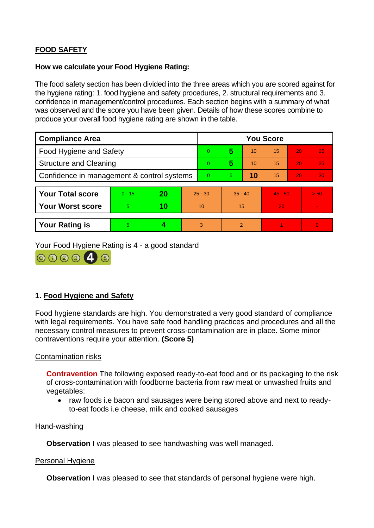# **FOOD SAFETY**

### **How we calculate your Food Hygiene Rating:**

The food safety section has been divided into the three areas which you are scored against for the hygiene rating: 1. food hygiene and safety procedures, 2. structural requirements and 3. confidence in management/control procedures. Each section begins with a summary of what was observed and the score you have been given. Details of how these scores combine to produce your overall food hygiene rating are shown in the table.

| <b>Compliance Area</b>                     |          |    |           | <b>You Score</b> |               |    |           |    |                |
|--------------------------------------------|----------|----|-----------|------------------|---------------|----|-----------|----|----------------|
| <b>Food Hygiene and Safety</b>             |          |    |           | $\overline{0}$   | 5             | 10 | 15        | 20 | 25             |
| <b>Structure and Cleaning</b>              |          |    |           | $\Omega$         | 5             | 10 | 15        | 20 | 25             |
| Confidence in management & control systems |          |    | $\Omega$  | 5.               | 10            | 15 | 20        | 30 |                |
|                                            |          |    |           |                  |               |    |           |    |                |
| <b>Your Total score</b>                    | $0 - 15$ | 20 | $25 - 30$ |                  | $35 - 40$     |    | $45 - 50$ |    | > 50           |
| <b>Your Worst score</b>                    | 5        | 10 | 10        |                  | 15            |    | 20        |    | $\blacksquare$ |
|                                            |          |    |           |                  |               |    |           |    |                |
| <b>Your Rating is</b>                      | 5        |    |           | 3                | $\mathcal{P}$ |    |           |    | $\overline{0}$ |

Your Food Hygiene Rating is 4 - a good standard



# **1. Food Hygiene and Safety**

Food hygiene standards are high. You demonstrated a very good standard of compliance with legal requirements. You have safe food handling practices and procedures and all the necessary control measures to prevent cross-contamination are in place. Some minor contraventions require your attention. **(Score 5)**

## Contamination risks

**Contravention** The following exposed ready-to-eat food and or its packaging to the risk of cross-contamination with foodborne bacteria from raw meat or unwashed fruits and vegetables:

• raw foods i.e bacon and sausages were being stored above and next to readyto-eat foods i.e cheese, milk and cooked sausages

#### Hand-washing

**Observation** I was pleased to see handwashing was well managed.

#### Personal Hygiene

**Observation** I was pleased to see that standards of personal hygiene were high.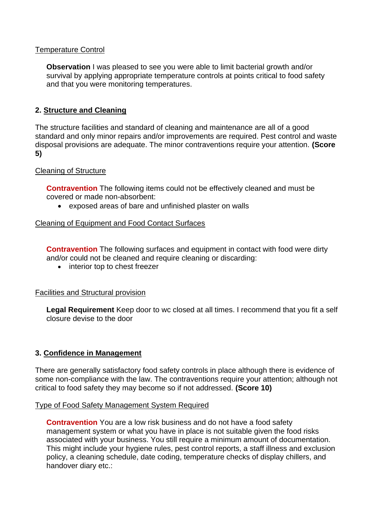## Temperature Control

**Observation** I was pleased to see you were able to limit bacterial growth and/or survival by applying appropriate temperature controls at points critical to food safety and that you were monitoring temperatures.

## **2. Structure and Cleaning**

The structure facilities and standard of cleaning and maintenance are all of a good standard and only minor repairs and/or improvements are required. Pest control and waste disposal provisions are adequate. The minor contraventions require your attention. **(Score 5)**

## Cleaning of Structure

**Contravention** The following items could not be effectively cleaned and must be covered or made non-absorbent:

• exposed areas of bare and unfinished plaster on walls

### Cleaning of Equipment and Food Contact Surfaces

**Contravention** The following surfaces and equipment in contact with food were dirty and/or could not be cleaned and require cleaning or discarding:

• interior top to chest freezer

#### Facilities and Structural provision

**Legal Requirement** Keep door to wc closed at all times. I recommend that you fit a self closure devise to the door

## **3. Confidence in Management**

There are generally satisfactory food safety controls in place although there is evidence of some non-compliance with the law. The contraventions require your attention; although not critical to food safety they may become so if not addressed. **(Score 10)**

#### Type of Food Safety Management System Required

**Contravention** You are a low risk business and do not have a food safety management system or what you have in place is not suitable given the food risks associated with your business. You still require a minimum amount of documentation. This might include your hygiene rules, pest control reports, a staff illness and exclusion policy, a cleaning schedule, date coding, temperature checks of display chillers, and handover diary etc.: